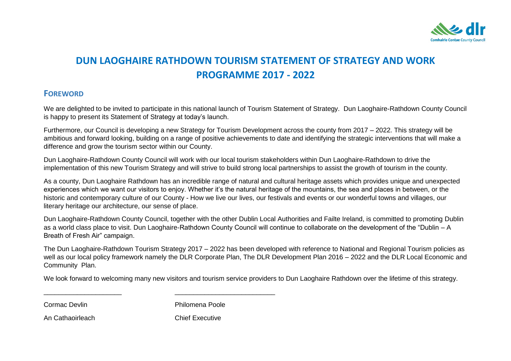

# **DUN LAOGHAIRE RATHDOWN TOURISM STATEMENT OF STRATEGY AND WORK PROGRAMME 2017 - 2022**

### **FOREWORD**

We are delighted to be invited to participate in this national launch of Tourism Statement of Strategy. Dun Laoghaire-Rathdown County Council is happy to present its Statement of Strategy at today"s launch.

Furthermore, our Council is developing a new Strategy for Tourism Development across the county from 2017 – 2022. This strategy will be ambitious and forward looking, building on a range of positive achievements to date and identifying the strategic interventions that will make a difference and grow the tourism sector within our County.

Dun Laoghaire-Rathdown County Council will work with our local tourism stakeholders within Dun Laoghaire-Rathdown to drive the implementation of this new Tourism Strategy and will strive to build strong local partnerships to assist the growth of tourism in the county.

As a county, Dun Laoghaire Rathdown has an incredible range of natural and cultural heritage assets which provides unique and unexpected experiences which we want our visitors to enjoy. Whether it's the natural heritage of the mountains, the sea and places in between, or the historic and contemporary culture of our County - How we live our lives, our festivals and events or our wonderful towns and villages, our literary heritage our architecture, our sense of place.

Dun Laoghaire-Rathdown County Council, together with the other Dublin Local Authorities and Failte Ireland, is committed to promoting Dublin as a world class place to visit. Dun Laoghaire-Rathdown County Council will continue to collaborate on the development of the "Dublin – A Breath of Fresh Air" campaign.

The Dun Laoghaire-Rathdown Tourism Strategy 2017 – 2022 has been developed with reference to National and Regional Tourism policies as well as our local policy framework namely the DLR Corporate Plan, The DLR Development Plan 2016 – 2022 and the DLR Local Economic and Community Plan.

We look forward to welcoming many new visitors and tourism service providers to Dun Laoghaire Rathdown over the lifetime of this strategy.

Cormac Devlin **Philomena Poole** 

An Cathaoirleach **Chief Executive** 

\_\_\_\_\_\_\_\_\_\_\_\_\_\_\_\_\_\_\_\_\_ \_\_\_\_\_\_\_\_\_\_\_\_\_\_\_\_\_\_\_\_\_\_\_\_\_\_\_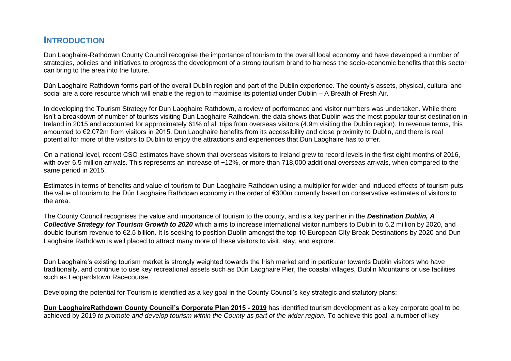## **INTRODUCTION**

Dun Laoghaire-Rathdown County Council recognise the importance of tourism to the overall local economy and have developed a number of strategies, policies and initiatives to progress the development of a strong tourism brand to harness the socio-economic benefits that this sector can bring to the area into the future.

Dún Laoghaire Rathdown forms part of the overall Dublin region and part of the Dublin experience. The county"s assets, physical, cultural and social are a core resource which will enable the region to maximise its potential under Dublin – A Breath of Fresh Air.

In developing the Tourism Strategy for Dun Laoghaire Rathdown, a review of performance and visitor numbers was undertaken. While there isn"t a breakdown of number of tourists visiting Dun Laoghaire Rathdown, the data shows that Dublin was the most popular tourist destination in Ireland in 2015 and accounted for approximately 61% of all trips from overseas visitors (4.9m visiting the Dublin region). In revenue terms, this amounted to €2,072m from visitors in 2015. Dun Laoghaire benefits from its accessibility and close proximity to Dublin, and there is real potential for more of the visitors to Dublin to enjoy the attractions and experiences that Dun Laoghaire has to offer.

On a national level, recent CSO estimates have shown that overseas visitors to Ireland grew to record levels in the first eight months of 2016, with over 6.5 million arrivals. This represents an increase of +12%, or more than 718,000 additional overseas arrivals, when compared to the same period in 2015.

Estimates in terms of benefits and value of tourism to Dun Laoghaire Rathdown using a multiplier for wider and induced effects of tourism puts the value of tourism to the Dún Laoghaire Rathdown economy in the order of €300m currently based on conservative estimates of visitors to the area.

The County Council recognises the value and importance of tourism to the county, and is a key partner in the *Destination Dublin, A Collective Strategy for Tourism Growth to 2020* which aims to increase international visitor numbers to Dublin to 6.2 million by 2020, and double tourism revenue to €2.5 billion. It is seeking to position Dublin amongst the top 10 European City Break Destinations by 2020 and Dun Laoghaire Rathdown is well placed to attract many more of these visitors to visit, stay, and explore.

Dun Laoghaire"s existing tourism market is strongly weighted towards the Irish market and in particular towards Dublin visitors who have traditionally, and continue to use key recreational assets such as Dún Laoghaire Pier, the coastal villages, Dublin Mountains or use facilities such as Leopardstown Racecourse.

Developing the potential for Tourism is identified as a key goal in the County Council's key strategic and statutory plans:

**Dun LaoghaireRathdown County Council's Corporate Plan 2015 - 2019** has identified tourism development as a key corporate goal to be achieved by 2019 *to promote and develop tourism within the County as part of the wider region*. To achieve this goal, a number of key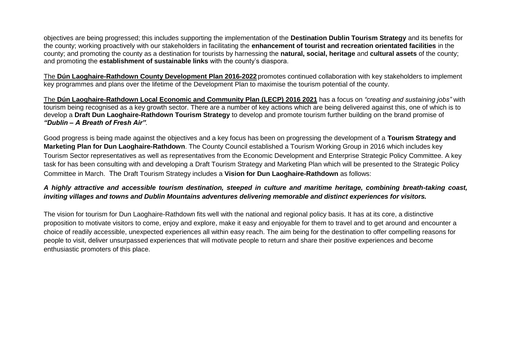objectives are being progressed; this includes supporting the implementation of the **Destination Dublin Tourism Strategy** and its benefits for the county; working proactively with our stakeholders in facilitating the **enhancement of tourist and recreation orientated facilities** in the county; and promoting the county as a destination for tourists by harnessing the **natural, social, heritage** and **cultural assets** of the county; and promoting the **establishment of sustainable links** with the county"s diaspora.

The **Dún Laoghaire-Rathdown County Development Plan 2016-2022** promotes continued collaboration with key stakeholders to implement key programmes and plans over the lifetime of the Development Plan to maximise the tourism potential of the county.

The **Dún Laoghaire-Rathdown Local Economic and Community Plan (LECP) 2016 2021** has a focus on *"creating and sustaining jobs"* with tourism being recognised as a key growth sector. There are a number of key actions which are being delivered against this, one of which is to develop a **Draft Dun Laoghaire-Rathdown Tourism Strategy** to develop and promote tourism further building on the brand promise of *"Dublin – A Breath of Fresh Air".*

Good progress is being made against the objectives and a key focus has been on progressing the development of a **Tourism Strategy and Marketing Plan for Dun Laoghaire-Rathdown**. The County Council established a Tourism Working Group in 2016 which includes key Tourism Sector representatives as well as representatives from the Economic Development and Enterprise Strategic Policy Committee. A key task for has been consulting with and developing a Draft Tourism Strategy and Marketing Plan which will be presented to the Strategic Policy Committee in March. The Draft Tourism Strategy includes a **Vision for Dun Laoghaire-Rathdown** as follows:

### *A highly attractive and accessible tourism destination, steeped in culture and maritime heritage, combining breath-taking coast, inviting villages and towns and Dublin Mountains adventures delivering memorable and distinct experiences for visitors.*

The vision for tourism for Dun Laoghaire-Rathdown fits well with the national and regional policy basis. It has at its core, a distinctive proposition to motivate visitors to come, enjoy and explore, make it easy and enjoyable for them to travel and to get around and encounter a choice of readily accessible, unexpected experiences all within easy reach. The aim being for the destination to offer compelling reasons for people to visit, deliver unsurpassed experiences that will motivate people to return and share their positive experiences and become enthusiastic promoters of this place.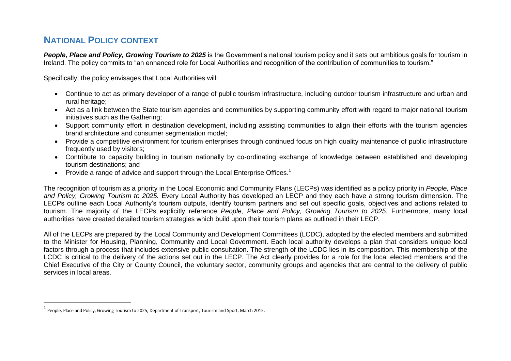## **NATIONAL POLICY CONTEXT**

 $\overline{\phantom{a}}$ 

**People, Place and Policy, Growing Tourism to 2025** is the Government's national tourism policy and it sets out ambitious goals for tourism in Ireland. The policy commits to "an enhanced role for Local Authorities and recognition of the contribution of communities to tourism."

Specifically, the policy envisages that Local Authorities will:

- Continue to act as primary developer of a range of public tourism infrastructure, including outdoor tourism infrastructure and urban and rural heritage;
- Act as a link between the State tourism agencies and communities by supporting community effort with regard to major national tourism initiatives such as the Gathering;
- Support community effort in destination development, including assisting communities to align their efforts with the tourism agencies brand architecture and consumer segmentation model;
- Provide a competitive environment for tourism enterprises through continued focus on high quality maintenance of public infrastructure frequently used by visitors;
- Contribute to capacity building in tourism nationally by co-ordinating exchange of knowledge between established and developing tourism destinations; and
- Provide a range of advice and support through the Local Enterprise Offices.<sup>1</sup>

The recognition of tourism as a priority in the Local Economic and Community Plans (LECPs) was identified as a policy priority in *People, Place and Policy, Growing Tourism to 2025.* Every Local Authority has developed an LECP and they each have a strong tourism dimension. The LECPs outline each Local Authority"s tourism outputs, identify tourism partners and set out specific goals, objectives and actions related to tourism. The majority of the LECPs explicitly reference *People, Place and Policy, Growing Tourism to 2025.* Furthermore, many local authorities have created detailed tourism strategies which build upon their tourism plans as outlined in their LECP.

All of the LECPs are prepared by the Local Community and Development Committees (LCDC), adopted by the elected members and submitted to the Minister for Housing, Planning, Community and Local Government. Each local authority develops a plan that considers unique local factors through a process that includes extensive public consultation. The strength of the LCDC lies in its composition. This membership of the LCDC is critical to the delivery of the actions set out in the LECP. The Act clearly provides for a role for the local elected members and the Chief Executive of the City or County Council, the voluntary sector, community groups and agencies that are central to the delivery of public services in local areas.

 $^{\text{1}}$  People, Place and Policy, Growing Tourism to 2025, Department of Transport, Tourism and Sport, March 2015.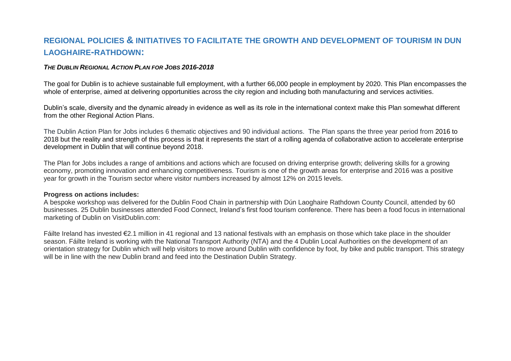## **REGIONAL POLICIES & INITIATIVES TO FACILITATE THE GROWTH AND DEVELOPMENT OF TOURISM IN DUN LAOGHAIRE-RATHDOWN:**

#### *THE DUBLIN REGIONAL ACTION PLAN FOR JOBS 2016-2018*

The goal for Dublin is to achieve sustainable full employment, with a further 66,000 people in employment by 2020. This Plan encompasses the whole of enterprise, aimed at delivering opportunities across the city region and including both manufacturing and services activities.

Dublin"s scale, diversity and the dynamic already in evidence as well as its role in the international context make this Plan somewhat different from the other Regional Action Plans.

The Dublin Action Plan for Jobs includes 6 thematic objectives and 90 individual actions. The Plan spans the three year period from 2016 to 2018 but the reality and strength of this process is that it represents the start of a rolling agenda of collaborative action to accelerate enterprise development in Dublin that will continue beyond 2018.

The Plan for Jobs includes a range of ambitions and actions which are focused on driving enterprise growth; delivering skills for a growing economy, promoting innovation and enhancing competitiveness. Tourism is one of the growth areas for enterprise and 2016 was a positive year for growth in the Tourism sector where visitor numbers increased by almost 12% on 2015 levels.

#### **Progress on actions includes:**

A bespoke workshop was delivered for the Dublin Food Chain in partnership with Dún Laoghaire Rathdown County Council, attended by 60 businesses. 25 Dublin businesses attended Food Connect, Ireland"s first food tourism conference. There has been a food focus in international marketing of Dublin on VisitDublin.com:

Fáilte Ireland has invested €2.1 million in 41 regional and 13 national festivals with an emphasis on those which take place in the shoulder season. Fáilte Ireland is working with the National Transport Authority (NTA) and the 4 Dublin Local Authorities on the development of an orientation strategy for Dublin which will help visitors to move around Dublin with confidence by foot, by bike and public transport. This strategy will be in line with the new Dublin brand and feed into the Destination Dublin Strategy.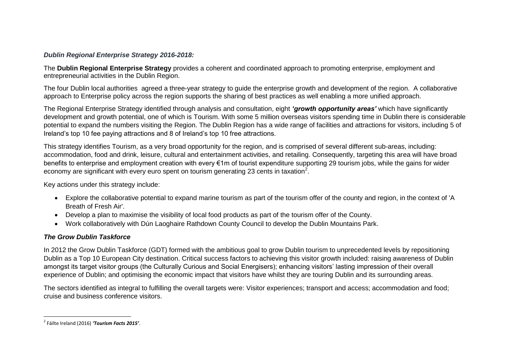### *Dublin Regional Enterprise Strategy 2016-2018:*

The **Dublin Regional Enterprise Strategy** provides a coherent and coordinated approach to promoting enterprise, employment and entrepreneurial activities in the Dublin Region.

The four Dublin local authorities agreed a three-year strategy to guide the enterprise growth and development of the region. A collaborative approach to Enterprise policy across the region supports the sharing of best practices as well enabling a more unified approach.

The Regional Enterprise Strategy identified through analysis and consultation, eight *"growth opportunity areas"* which have significantly development and growth potential, one of which is Tourism. With some 5 million overseas visitors spending time in Dublin there is considerable potential to expand the numbers visiting the Region. The Dublin Region has a wide range of facilities and attractions for visitors, including 5 of Ireland"s top 10 fee paying attractions and 8 of Ireland"s top 10 free attractions.

This strategy identifies Tourism, as a very broad opportunity for the region, and is comprised of several different sub-areas, including: accommodation, food and drink, leisure, cultural and entertainment activities, and retailing. Consequently, targeting this area will have broad benefits to enterprise and employment creation with every €1m of tourist expenditure supporting 29 tourism jobs, while the gains for wider economy are significant with every euro spent on tourism generating 23 cents in taxation<sup>2</sup>.

Key actions under this strategy include:

- Explore the collaborative potential to expand marine tourism as part of the tourism offer of the county and region, in the context of 'A Breath of Fresh Air'.
- Develop a plan to maximise the visibility of local food products as part of the tourism offer of the County.
- Work collaboratively with Dún Laoghaire Rathdown County Council to develop the Dublin Mountains Park.

### *The Grow Dublin Taskforce*

In 2012 the Grow Dublin Taskforce (GDT) formed with the ambitious goal to grow Dublin tourism to unprecedented levels by repositioning Dublin as a Top 10 European City destination. Critical success factors to achieving this visitor growth included: raising awareness of Dublin amongst its target visitor groups (the Culturally Curious and Social Energisers); enhancing visitors' lasting impression of their overall experience of Dublin; and optimising the economic impact that visitors have whilst they are touring Dublin and its surrounding areas.

The sectors identified as integral to fulfilling the overall targets were: Visitor experiences; transport and access; accommodation and food; cruise and business conference visitors.

 $\overline{\phantom{a}}$ 2 Fáilte Ireland (2016) *'Tourism Facts 2015'*.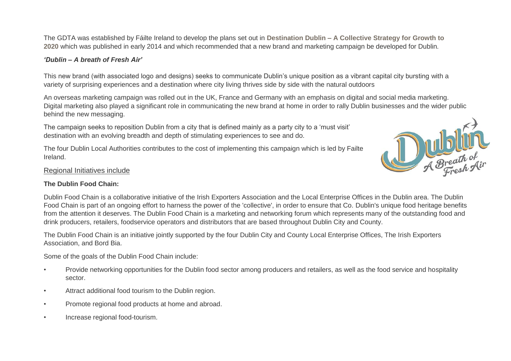The GDTA was established by Fáilte Ireland to develop the plans set out in **[Destination](http://www.failteireland.ie/FailteIreland/media/WebsiteStructure/Documents/4_Corporate_Documents/Strategy_Operations_Plans/Dublin-a-Collective-Strategy-for-Tourism-Growth.pdf) Dublin – A Collective Strategy for Growth to [2020](http://www.failteireland.ie/FailteIreland/media/WebsiteStructure/Documents/4_Corporate_Documents/Strategy_Operations_Plans/Dublin-a-Collective-Strategy-for-Tourism-Growth.pdf)** which was published in early 2014 and which recommended that a new brand and marketing campaign be developed for Dublin*.*

### *"Dublin – A breath of Fresh Air"*

This new brand (with associated logo and designs) seeks to communicate Dublin"s unique position as a vibrant capital city bursting with a variety of surprising experiences and a destination where city living thrives side by side with the natural outdoors

An overseas marketing campaign was rolled out in the UK, France and Germany with an emphasis on digital and social media marketing. Digital marketing also played a significant role in communicating the new brand at home in order to rally Dublin businesses and the wider public behind the new messaging.

The campaign seeks to reposition Dublin from a city that is defined mainly as a party city to a 'must visit' destination with an evolving breadth and depth of stimulating experiences to see and do.

The four Dublin Local Authorities contributes to the cost of implementing this campaign which is led by Failte Ireland.



### Regional Initiatives include

### **The Dublin Food Chain:**

Dublin Food Chain is a collaborative initiative of the Irish Exporters Association and the Local Enterprise Offices in the Dublin area. The Dublin Food Chain is part of an ongoing effort to harness the power of the 'collective', in order to ensure that Co. Dublin's unique food heritage benefits from the attention it deserves. The Dublin Food Chain is a marketing and networking forum which represents many of the outstanding food and drink producers, retailers, foodservice operators and distributors that are based throughout Dublin City and County.

The Dublin Food Chain is an initiative jointly supported by the four Dublin City and County Local Enterprise Offices, The Irish Exporters Association, and Bord Bia.

Some of the goals of the Dublin Food Chain include:

- Provide networking opportunities for the Dublin food sector among producers and retailers, as well as the food service and hospitality sector.
- Attract additional food tourism to the Dublin region.
- Promote regional food products at home and abroad.
- Increase regional food-tourism.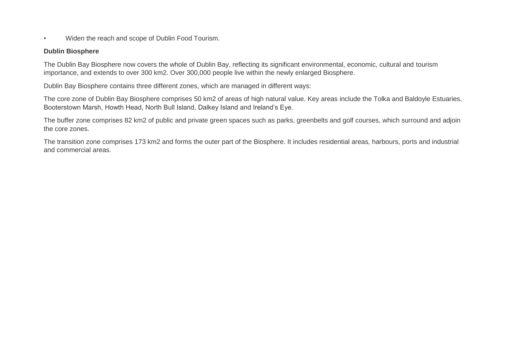• Widen the reach and scope of Dublin Food Tourism.

#### **Dublin Biosphere**

The Dublin Bay Biosphere now covers the whole of Dublin Bay, reflecting its significant environmental, economic, cultural and tourism importance, and extends to over 300 km2. Over 300,000 people live within the newly enlarged Biosphere.

Dublin Bay Biosphere contains three different zones, which are managed in different ways:

The core zone of Dublin Bay Biosphere comprises 50 km2 of areas of high natural value. Key areas include the Tolka and Baldoyle Estuaries, Booterstown Marsh, Howth Head, North Bull Island, Dalkey Island and Ireland"s Eye.

The buffer zone comprises 82 km2 of public and private green spaces such as parks, greenbelts and golf courses, which surround and adjoin the core zones.

The transition zone comprises 173 km2 and forms the outer part of the Biosphere. It includes residential areas, harbours, ports and industrial and commercial areas.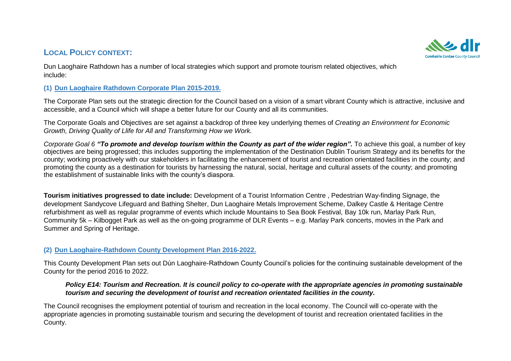### **LOCAL POLICY CONTEXT:**



Dun Laoghaire Rathdown has a number of local strategies which support and promote tourism related objectives, which include:

### **(1) Dun Laoghaire Rathdown Corporate Plan 2015-2019.**

The Corporate Plan sets out the strategic direction for the Council based on a vision of a smart vibrant County which is attractive, inclusive and accessible, and a Council which will shape a better future for our County and all its communities.

The Corporate Goals and Objectives are set against a backdrop of three key underlying themes of *Creating an Environment for Economic Growth, Driving Quality of Llife for All and Transforming How we Work.*

*Corporate Goal 6 "To promote and develop tourism within the County as part of the wider region".* To achieve this goal, a number of key objectives are being progressed; this includes supporting the implementation of the Destination Dublin Tourism Strategy and its benefits for the county; working proactively with our stakeholders in facilitating the enhancement of tourist and recreation orientated facilities in the county; and promoting the county as a destination for tourists by harnessing the natural, social, heritage and cultural assets of the county; and promoting the establishment of sustainable links with the county"s diaspora.

**Tourism initiatives progressed to date include:** Development of a Tourist Information Centre , Pedestrian Way-finding Signage, the development Sandycove Lifeguard and Bathing Shelter, Dun Laoghaire Metals Improvement Scheme, Dalkey Castle & Heritage Centre refurbishment as well as regular programme of events which include Mountains to Sea Book Festival, Bay 10k run, Marlay Park Run, Community 5k – Kilbogget Park as well as the on-going programme of DLR Events – e.g. Marlay Park concerts, movies in the Park and Summer and Spring of Heritage.

### **(2) Dun Laoghaire-Rathdown County Development Plan 2016-2022.**

This County Development Plan sets out Dún Laoghaire-Rathdown County Council"s policies for the continuing sustainable development of the County for the period 2016 to 2022.

### *Policy E14: Tourism and Recreation. It is council policy to co-operate with the appropriate agencies in promoting sustainable tourism and securing the development of tourist and recreation orientated facilities in the county.*

The Council recognises the employment potential of tourism and recreation in the local economy. The Council will co-operate with the appropriate agencies in promoting sustainable tourism and securing the development of tourist and recreation orientated facilities in the County.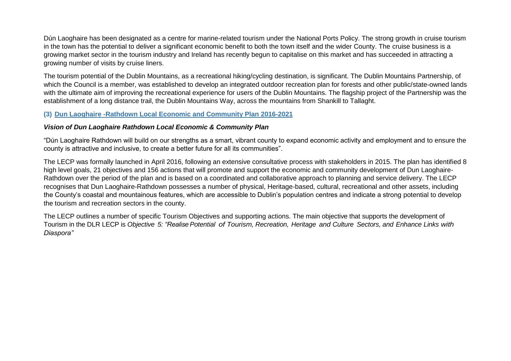Dún Laoghaire has been designated as a centre for marine-related tourism under the National Ports Policy. The strong growth in cruise tourism in the town has the potential to deliver a significant economic benefit to both the town itself and the wider County. The cruise business is a growing market sector in the tourism industry and Ireland has recently begun to capitalise on this market and has succeeded in attracting a growing number of visits by cruise liners.

The tourism potential of the Dublin Mountains, as a recreational hiking/cycling destination, is significant. The Dublin Mountains Partnership, of which the Council is a member, was established to develop an integrated outdoor recreation plan for forests and other public/state-owned lands with the ultimate aim of improving the recreational experience for users of the Dublin Mountains. The flagship project of the Partnership was the establishment of a long distance trail, the Dublin Mountains Way, across the mountains from Shankill to Tallaght.

#### **(3) Dun Laoghaire -Rathdown Local Economic and Community Plan 2016-2021**

#### *Vision of Dun Laoghaire Rathdown Local Economic & Community Plan*

"Dún Laoghaire Rathdown will build on our strengths as a smart, vibrant county to expand economic activity and employment and to ensure the county is attractive and inclusive, to create a better future for all its communities".

The LECP was formally launched in April 2016, following an extensive consultative process with stakeholders in 2015. The plan has identified 8 high level goals, 21 objectives and 156 actions that will promote and support the economic and community development of Dun Laoghaire-Rathdown over the period of the plan and is based on a coordinated and collaborative approach to planning and service delivery. The LECP recognises that Dun Laoghaire-Rathdown possesses a number of physical, Heritage-based, cultural, recreational and other assets, including the County"s coastal and mountainous features, which are accessible to Dublin"s population centres and indicate a strong potential to develop the tourism and recreation sectors in the county.

The LECP outlines a number of specific Tourism Objectives and supporting actions. The main objective that supports the development of Tourism in the DLR LECP is Objective 5: "Realise Potential of Tourism. Recreation. Heritage and Culture Sectors, and Enhance Links with *Diaspora"*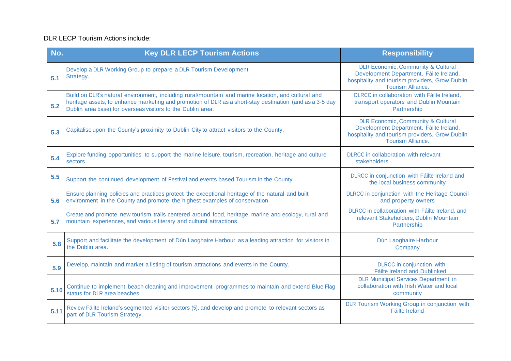### DLR LECP Tourism Actions include:

| No.  | <b>Key DLR LECP Tourism Actions</b>                                                                                                                                                                                                                                           | <b>Responsibility</b>                                                                                                                                                  |
|------|-------------------------------------------------------------------------------------------------------------------------------------------------------------------------------------------------------------------------------------------------------------------------------|------------------------------------------------------------------------------------------------------------------------------------------------------------------------|
| 5.1  | Develop a DLR Working Group to prepare a DLR Tourism Development<br>Strategy.                                                                                                                                                                                                 | <b>DLR Economic, Community &amp; Cultural</b><br>Development Department, Fáilte Ireland,<br>hospitality and tourism providers, Grow Dublin<br><b>Tourism Alliance.</b> |
| 5.2  | Build on DLR's natural environment, including rural/mountain and marine location, and cultural and<br>heritage assets, to enhance marketing and promotion of DLR as a short-stay destination (and as a 3-5 day<br>Dublin area base) for overseas visitors to the Dublin area. | DLRCC in collaboration with Fáilte Ireland,<br>transport operators and Dublin Mountain<br>Partnership                                                                  |
| 5.3  | Capitalise upon the County's proximity to Dublin City to attract visitors to the County.                                                                                                                                                                                      | <b>DLR Economic, Community &amp; Cultural</b><br>Development Department, Fáilte Ireland,<br>hospitality and tourism providers, Grow Dublin<br><b>Tourism Alliance.</b> |
| 5.4  | Explore funding opportunities to support the marine leisure, tourism, recreation, heritage and culture<br>sectors.                                                                                                                                                            | DLRCC in collaboration with relevant<br>stakeholders                                                                                                                   |
| 5.5  | Support the continued development of Festival and events based Tourism in the County.                                                                                                                                                                                         | DLRCC in conjunction with Fáilte Ireland and<br>the local business community                                                                                           |
| 5.6  | Ensure planning policies and practices protect the exceptional heritage of the natural and built<br>environment in the County and promote the highest examples of conservation.                                                                                               | DLRCC in conjunction with the Heritage Council<br>and property owners                                                                                                  |
| 5.7  | Create and promote new tourism trails centered around food, heritage, marine and ecology, rural and<br>mountain experiences, and various literary and cultural attractions.                                                                                                   | DLRCC in collaboration with Fáilte Ireland, and<br>relevant Stakeholders, Dublin Mountain<br>Partnership                                                               |
| 5.8  | Support and facilitate the development of Dún Laoghaire Harbour as a leading attraction for visitors in<br>the Dublin area.                                                                                                                                                   | Dún Laoghaire Harbour<br>Company                                                                                                                                       |
| 5.9  | Develop, maintain and market a listing of tourism attractions and events in the County.                                                                                                                                                                                       | <b>DLRCC</b> in conjunction with<br><b>Fáilte Ireland and Dublinked</b>                                                                                                |
| 5.10 | Continue to implement beach cleaning and improvement programmes to maintain and extend Blue Flag<br>status for DLR area beaches.                                                                                                                                              | <b>DLR Municipal Services Department in</b><br>collaboration with Irish Water and local<br>community                                                                   |
| 5.11 | Review Fáilte Ireland's segmented visitor sectors (5), and develop and promote to relevant sectors as<br>part of DLR Tourism Strategy.                                                                                                                                        | DLR Tourism Working Group in conjunction with<br>Fáilte Ireland                                                                                                        |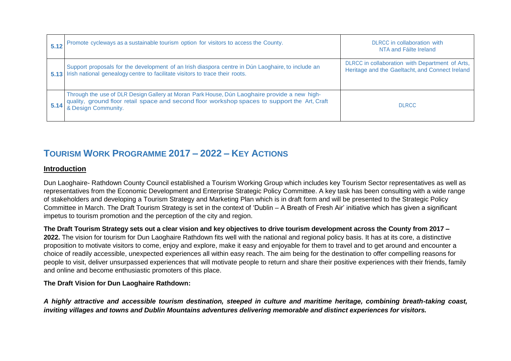| 5.12 | Promote cycleways as a sustainable tourism option for visitors to access the County.                                                                                                                                 | DLRCC in collaboration with<br>NTA and Fáilte Ireland                                              |
|------|----------------------------------------------------------------------------------------------------------------------------------------------------------------------------------------------------------------------|----------------------------------------------------------------------------------------------------|
|      | Support proposals for the development of an Irish diaspora centre in Dún Laoghaire, to include an<br>5.13 Irish national genealogy centre to facilitate visitors to trace their roots.                               | DLRCC in collaboration with Department of Arts,<br>Heritage and the Gaeltacht, and Connect Ireland |
| 5.14 | Through the use of DLR Design Gallery at Moran Park House, Dún Laoghaire provide a new high-<br>quality, ground floor retail space and second floor workshop spaces to support the Art, Craft<br>& Design Community. | <b>DLRCC</b>                                                                                       |

## **TOURISM WORK PROGRAMME 2017 – 2022 – KEY ACTIONS**

### **Introduction**

Dun Laoghaire- Rathdown County Council established a Tourism Working Group which includes key Tourism Sector representatives as well as representatives from the Economic Development and Enterprise Strategic Policy Committee. A key task has been consulting with a wide range of stakeholders and developing a Tourism Strategy and Marketing Plan which is in draft form and will be presented to the Strategic Policy Committee in March. The Draft Tourism Strategy is set in the context of "Dublin – A Breath of Fresh Air" initiative which has given a significant impetus to tourism promotion and the perception of the city and region.

**The Draft Tourism Strategy sets out a clear vision and key objectives to drive tourism development across the County from 2017 –**

**2022.** The vision for tourism for Dun Laoghaire Rathdown fits well with the national and regional policy basis. It has at its core, a distinctive proposition to motivate visitors to come, enjoy and explore, make it easy and enjoyable for them to travel and to get around and encounter a choice of readily accessible, unexpected experiences all within easy reach. The aim being for the destination to offer compelling reasons for people to visit, deliver unsurpassed experiences that will motivate people to return and share their positive experiences with their friends, family and online and become enthusiastic promoters of this place.

### **The Draft Vision for Dun Laoghaire Rathdown:**

*A highly attractive and accessible tourism destination, steeped in culture and maritime heritage, combining breath-taking coast, inviting villages and towns and Dublin Mountains adventures delivering memorable and distinct experiences for visitors.*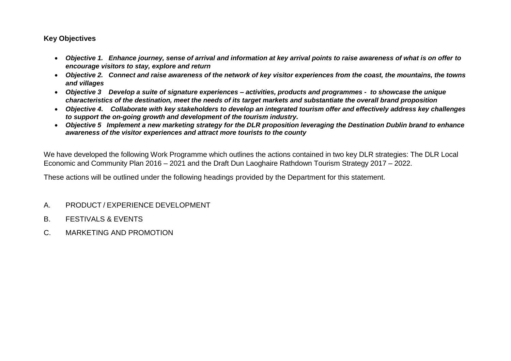### **Key Objectives**

- *Objective 1. Enhance journey, sense of arrival and information at key arrival points to raise awareness of what is on offer to encourage visitors to stay, explore and return*
- *Objective 2. Connect and raise awareness of the network of key visitor experiences from the coast, the mountains, the towns and villages*
- *Objective 3 Develop a suite of signature experiences – activities, products and programmes to showcase the unique characteristics of the destination, meet the needs of its target markets and substantiate the overall brand proposition*
- *Objective 4***.** *Collaborate with key stakeholders to develop an integrated tourism offer and effectively address key challenges to support the on-going growth and development of the tourism industry.*
- *Objective 5 Implement a new marketing strategy for the DLR proposition leveraging the Destination Dublin brand to enhance awareness of the visitor experiences and attract more tourists to the county*

We have developed the following Work Programme which outlines the actions contained in two key DLR strategies: The DLR Local Economic and Community Plan 2016 – 2021 and the Draft Dun Laoghaire Rathdown Tourism Strategy 2017 – 2022.

These actions will be outlined under the following headings provided by the Department for this statement.

- A. PRODUCT / EXPERIENCE DEVELOPMENT
- B. FESTIVALS & EVENTS
- C. MARKETING AND PROMOTION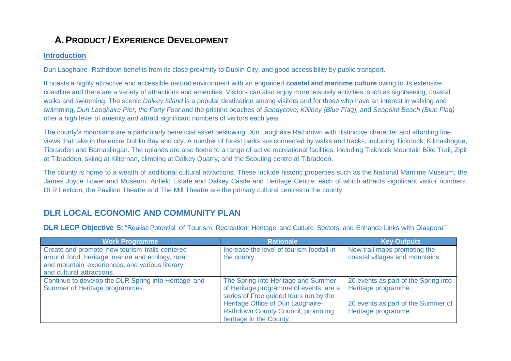# **A.PRODUCT / EXPERIENCE DEVELOPMENT**

### **Introduction**

Dun Laoghaire- Rathdown benefits from its close proximity to Dublin City, and good accessibility by public transport.

It boasts a highly attractive and accessible natural environment with an engrained **coastal and maritime culture** owing to its extensive coastline and there are a variety of attractions and amenities. Visitors can also enjoy more leisurely activities, such as sightseeing, coastal walks and swimming. The scenic *Dalkey Island* is a popular destination among visitors and for those who have an interest in walking and swimming, *Dun Laoghaire Pier*, *the Forty Foot* and the pristine beaches of *Sandycove, Killiney (Blue Flag),* and *Seapoint Beach (Blue Flag)* offer a high level of amenity and attract significant numbers of visitors each year.

The county"s mountains are a particularly beneficial asset bestowing Dun Laoghaire Rathdown with distinctive character and affording fine views that take in the entire Dublin Bay and city. A number of forest parks are connected by walks and tracks, including Ticknock, Kilmashogue, Tibradden and Barnaslingan. The uplands are also home to a range of active recreational facilities, including Ticknock Mountain Bike Trail, Zipit at Tibradden, skiing at Kilternan, climbing at Dalkey Quarry, and the Scouting centre at Tibradden.

The county is home to a wealth of additional cultural attractions. These include historic properties such as the National Maritime Museum, the James Joyce Tower and Museum, Airfield Estate and Dalkey Castle and Heritage Centre, each of which attracts significant visitor numbers. DLR LexIcon, the Pavilion Theatre and The Mill Theatre are the primary cultural centres in the county.

### **DLR LOCAL ECONOMIC AND COMMUNITY PLAN**

**DLR LECP Objective 5:** "Realise Potential of Tourism, Recreation, Heritage and Culture Sectors, and Enhance Links with Diaspora"

| <b>Work Programme</b>                                                                                                                                                             | <b>Rationale</b>                                                                                                        | <b>Key Outputs</b>                                              |
|-----------------------------------------------------------------------------------------------------------------------------------------------------------------------------------|-------------------------------------------------------------------------------------------------------------------------|-----------------------------------------------------------------|
| Create and promote new tourism trails centered<br>around food, heritage, marine and ecology, rural<br>and mountain experiences, and various literary<br>and cultural attractions. | Increase the level of tourism footfall in<br>the county.                                                                | New trail maps promoting the<br>coastal villages and mountains. |
| Continue to develop the DLR Spring into Heritage' and<br>Summer of Heritage programmes.                                                                                           | The Spring into Heritage and Summer<br>of Heritage programme of events, are a<br>series of Free guided tours run by the | 20 events as part of the Spring into<br>Heritage programme.     |
|                                                                                                                                                                                   | Heritage Office of Dún Laoghaire-<br><b>Rathdown County Council, promoting</b><br>heritage in the County.               | 20 events as part of the Summer of<br>Heritage programme.       |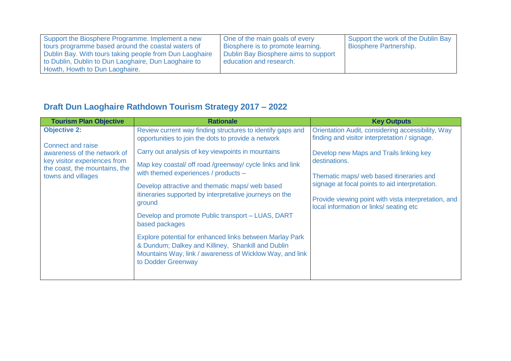| Support the Biosphere Programme. Implement a new        | One of the main goals of every       | Support the work of the Dublin Bay |
|---------------------------------------------------------|--------------------------------------|------------------------------------|
| tours programme based around the coastal waters of      | Biosphere is to promote learning.    | <b>Biosphere Partnership.</b>      |
| Dublin Bay. With tours taking people from Dun Laoghaire | Dublin Bay Biosphere aims to support |                                    |
| to Dublin, Dublin to Dun Laoghaire, Dun Laoghaire to    | education and research.              |                                    |
| Howth, Howth to Dun Laoghaire.                          |                                      |                                    |

# **Draft Dun Laoghaire Rathdown Tourism Strategy 2017 – 2022**

| <b>Tourism Plan Objective</b>                                                           | <b>Rationale</b>                                                                                                                                                                                 | <b>Key Outputs</b>                                                                                 |
|-----------------------------------------------------------------------------------------|--------------------------------------------------------------------------------------------------------------------------------------------------------------------------------------------------|----------------------------------------------------------------------------------------------------|
| <b>Objective 2:</b>                                                                     | Review current way finding structures to identify gaps and<br>opportunities to join the dots to provide a network                                                                                | Orientation Audit, considering accessibility, Way<br>finding and visitor interpretation / signage. |
| <b>Connect and raise</b><br>awareness of the network of<br>key visitor experiences from | Carry out analysis of key viewpoints in mountains                                                                                                                                                | Develop new Maps and Trails linking key<br>destinations.                                           |
| the coast, the mountains, the<br>towns and villages                                     | Map key coastal/ off road /greenway/ cycle links and link<br>with themed experiences / products -                                                                                                | Thematic maps/ web based itineraries and                                                           |
|                                                                                         | Develop attractive and thematic maps/ web based<br>itineraries supported by interpretative journeys on the                                                                                       | signage at focal points to aid interpretation.                                                     |
|                                                                                         | ground                                                                                                                                                                                           | Provide viewing point with vista interpretation, and<br>local information or links/ seating etc    |
|                                                                                         | Develop and promote Public transport - LUAS, DART<br>based packages                                                                                                                              |                                                                                                    |
|                                                                                         | Explore potential for enhanced links between Marlay Park<br>& Dundum; Dalkey and Killiney, Shankill and Dublin<br>Mountains Way, link / awareness of Wicklow Way, and link<br>to Dodder Greenway |                                                                                                    |
|                                                                                         |                                                                                                                                                                                                  |                                                                                                    |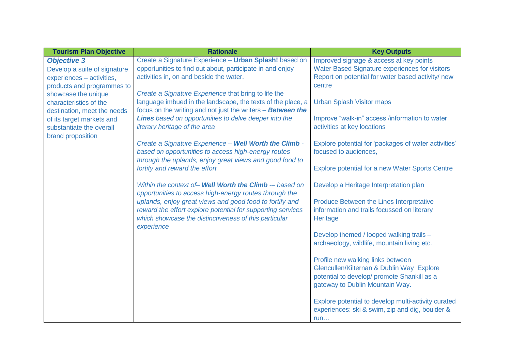| <b>Tourism Plan Objective</b> | <b>Rationale</b>                                                                                               | <b>Key Outputs</b>                                     |
|-------------------------------|----------------------------------------------------------------------------------------------------------------|--------------------------------------------------------|
| <b>Objective 3</b>            | Create a Signature Experience - Urban Splash! based on                                                         | Improved signage & access at key points                |
| Develop a suite of signature  | opportunities to find out about, participate in and enjoy                                                      | <b>Water Based Signature experiences for visitors</b>  |
| experiences - activities,     | activities in, on and beside the water.                                                                        | Report on potential for water based activity/ new      |
| products and programmes to    |                                                                                                                | centre                                                 |
| showcase the unique           | Create a Signature Experience that bring to life the                                                           |                                                        |
| characteristics of the        | language imbued in the landscape, the texts of the place, a                                                    | <b>Urban Splash Visitor maps</b>                       |
| destination, meet the needs   | focus on the writing and not just the writers - Between the                                                    |                                                        |
| of its target markets and     | Lines based on opportunities to delve deeper into the                                                          | Improve "walk-in" access /information to water         |
| substantiate the overall      | literary heritage of the area                                                                                  | activities at key locations                            |
| brand proposition             |                                                                                                                |                                                        |
|                               | Create a Signature Experience - Well Worth the Climb -                                                         | Explore potential for 'packages of water activities'   |
|                               | based on opportunities to access high-energy routes<br>through the uplands, enjoy great views and good food to | focused to audiences,                                  |
|                               | fortify and reward the effort                                                                                  | <b>Explore potential for a new Water Sports Centre</b> |
|                               |                                                                                                                |                                                        |
|                               | Within the context of- Well Worth the Climb - based on                                                         | Develop a Heritage Interpretation plan                 |
|                               | opportunities to access high-energy routes through the                                                         |                                                        |
|                               | uplands, enjoy great views and good food to fortify and                                                        | Produce Between the Lines Interpretative               |
|                               | reward the effort explore potential for supporting services                                                    | information and trails focussed on literary            |
|                               | which showcase the distinctiveness of this particular                                                          | Heritage                                               |
|                               | experience                                                                                                     |                                                        |
|                               |                                                                                                                | Develop themed / looped walking trails -               |
|                               |                                                                                                                | archaeology, wildlife, mountain living etc.            |
|                               |                                                                                                                |                                                        |
|                               |                                                                                                                | Profile new walking links between                      |
|                               |                                                                                                                | Glencullen/Kilternan & Dublin Way Explore              |
|                               |                                                                                                                | potential to develop/ promote Shankill as a            |
|                               |                                                                                                                | gateway to Dublin Mountain Way.                        |
|                               |                                                                                                                |                                                        |
|                               |                                                                                                                | Explore potential to develop multi-activity curated    |
|                               |                                                                                                                | experiences: ski & swim, zip and dig, boulder &        |
|                               |                                                                                                                | run                                                    |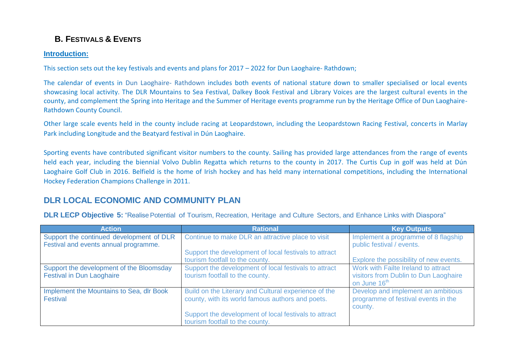## **B. FESTIVALS & EVENTS**

### **Introduction:**

This section sets out the key festivals and events and plans for 2017 – 2022 for Dun Laoghaire- Rathdown;

The calendar of events in Dun Laoghaire- Rathdown includes both events of national stature down to smaller specialised or local events showcasing local activity. The DLR Mountains to Sea Festival, Dalkey Book Festival and Library Voices are the largest cultural events in the county, and complement the Spring into Heritage and the Summer of Heritage events programme run by the Heritage Office of Dun Laoghaire-Rathdown County Council.

Other large scale events held in the county include racing at Leopardstown, including the Leopardstown Racing Festival, concerts in Marlay Park including Longitude and the Beatyard festival in Dún Laoghaire.

Sporting events have contributed significant visitor numbers to the county. Sailing has provided large attendances from the range of events held each year, including the biennial Volvo Dublin Regatta which returns to the county in 2017. The Curtis Cup in golf was held at Dún Laoghaire Golf Club in 2016. Belfield is the home of Irish hockey and has held many international competitions, including the International Hockey Federation Champions Challenge in 2011.

## **DLR LOCAL ECONOMIC AND COMMUNITY PLAN**

**DLR LECP Objective 5:** "Realise Potential of Tourism, Recreation, Heritage and Culture Sectors, and Enhance Links with Diaspora"

| <b>Action</b>                                        | <b>Rational</b>                                                                                          | <b>Key Outputs</b>                                                                   |
|------------------------------------------------------|----------------------------------------------------------------------------------------------------------|--------------------------------------------------------------------------------------|
| Support the continued development of DLR             | Continue to make DLR an attractive place to visit                                                        | Implement a programme of 8 flagship                                                  |
| Festival and events annual programme.                | Support the development of local festivals to attract                                                    | public festival / events.                                                            |
|                                                      | tourism footfall to the county.                                                                          | Explore the possibility of new events.                                               |
| Support the development of the Bloomsday             | Support the development of local festivals to attract                                                    | Work with Failte Ireland to attract                                                  |
| <b>Festival in Dun Laoghaire</b>                     | tourism footfall to the county.                                                                          | visitors from Dublin to Dun Laoghaire                                                |
|                                                      |                                                                                                          | on June 16 <sup>th</sup>                                                             |
| Implement the Mountains to Sea, dlr Book<br>Festival | Build on the Literary and Cultural experience of the<br>county, with its world famous authors and poets. | Develop and implement an ambitious<br>programme of festival events in the<br>county. |
|                                                      | Support the development of local festivals to attract<br>tourism footfall to the county.                 |                                                                                      |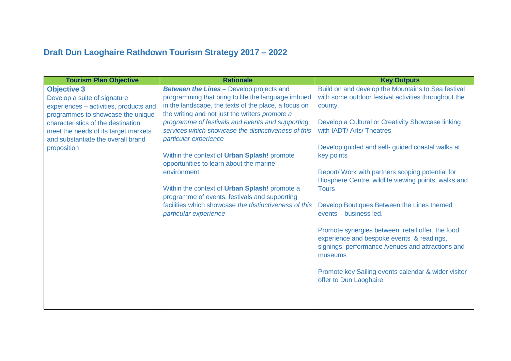# **Draft Dun Laoghaire Rathdown Tourism Strategy 2017 – 2022**

| <b>Tourism Plan Objective</b>                                                                                                                                                                                                                                         | <b>Rationale</b>                                                                                                                                                                                                                                                                                                                                                                                                                                                                                                                                                                                                                                 | <b>Key Outputs</b>                                                                                                                                                                                                                                                                                                                                                                                                                                                                                                                                                                                                                                                                                                              |
|-----------------------------------------------------------------------------------------------------------------------------------------------------------------------------------------------------------------------------------------------------------------------|--------------------------------------------------------------------------------------------------------------------------------------------------------------------------------------------------------------------------------------------------------------------------------------------------------------------------------------------------------------------------------------------------------------------------------------------------------------------------------------------------------------------------------------------------------------------------------------------------------------------------------------------------|---------------------------------------------------------------------------------------------------------------------------------------------------------------------------------------------------------------------------------------------------------------------------------------------------------------------------------------------------------------------------------------------------------------------------------------------------------------------------------------------------------------------------------------------------------------------------------------------------------------------------------------------------------------------------------------------------------------------------------|
| <b>Objective 3</b><br>Develop a suite of signature<br>experiences - activities, products and<br>programmes to showcase the unique<br>characteristics of the destination,<br>meet the needs of its target markets<br>and substantiate the overall brand<br>proposition | <b>Between the Lines - Develop projects and</b><br>programming that bring to life the language imbued<br>in the landscape, the texts of the place, a focus on<br>the writing and not just the writers promote a<br>programme of festivals and events and supporting<br>services which showcase the distinctiveness of this<br>particular experience<br>Within the context of Urban Splash! promote<br>opportunities to learn about the marine<br>environment<br>Within the context of Urban Splash! promote a<br>programme of events, festivals and supporting<br>facilities which showcase the distinctiveness of this<br>particular experience | Build on and develop the Mountains to Sea festival<br>with some outdoor festival activities throughout the<br>county.<br>Develop a Cultural or Creativity Showcase linking<br>with IADT/ Arts/ Theatres<br>Develop guided and self- guided coastal walks at<br>key points<br>Report/ Work with partners scoping potential for<br>Biosphere Centre, wildlife viewing points, walks and<br><b>Tours</b><br>Develop Boutiques Between the Lines themed<br>events - business led.<br>Promote synergies between retail offer, the food<br>experience and bespoke events & readings,<br>signings, performance /venues and attractions and<br>museums<br>Promote key Sailing events calendar & wider visitor<br>offer to Dun Laoghaire |
|                                                                                                                                                                                                                                                                       |                                                                                                                                                                                                                                                                                                                                                                                                                                                                                                                                                                                                                                                  |                                                                                                                                                                                                                                                                                                                                                                                                                                                                                                                                                                                                                                                                                                                                 |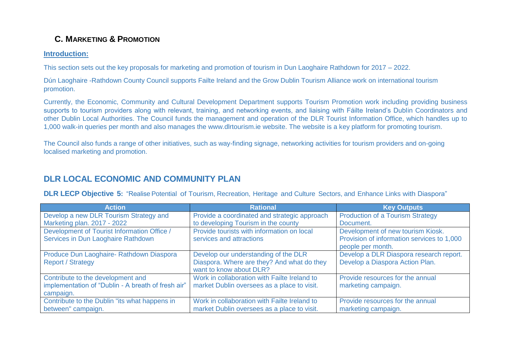## **C. MARKETING & PROMOTION**

### **Introduction:**

This section sets out the key proposals for marketing and promotion of tourism in Dun Laoghaire Rathdown for 2017 – 2022.

Dún Laoghaire -Rathdown County Council supports Failte Ireland and the Grow Dublin Tourism Alliance work on international tourism promotion.

Currently, the Economic, Community and Cultural Development Department supports Tourism Promotion work including providing business supports to tourism providers along with relevant, training, and networking events, and liaising with Fáilte Ireland's Dublin Coordinators and other Dublin Local Authorities. The Council funds the management and operation of the DLR Tourist Information Office, which handles up to 1,000 walk-in queries per month and also manages the www.dlrtourism.ie website. The website is a key platform for promoting tourism.

The Council also funds a range of other initiatives, such as way-finding signage, networking activities for tourism providers and on-going localised marketing and promotion.

### **DLR LOCAL ECONOMIC AND COMMUNITY PLAN**

**DLR LECP Objective 5:** "Realise Potential of Tourism, Recreation, Heritage and Culture Sectors, and Enhance Links with Diaspora"

| <b>Action</b>                                      | <b>Rational</b>                              | <b>Key Outputs</b>                                              |
|----------------------------------------------------|----------------------------------------------|-----------------------------------------------------------------|
| Develop a new DLR Tourism Strategy and             | Provide a coordinated and strategic approach | <b>Production of a Tourism Strategy</b>                         |
| Marketing plan. 2017 - 2022                        | to developing Tourism in the county          | Document.                                                       |
| Development of Tourist Information Office /        | Provide tourists with information on local   | Development of new tourism Kiosk.                               |
| Services in Dun Laoghaire Rathdown                 | services and attractions                     | Provision of information services to 1,000<br>people per month. |
|                                                    |                                              |                                                                 |
| Produce Dun Laoghaire- Rathdown Diaspora           | Develop our understanding of the DLR         | Develop a DLR Diaspora research report.                         |
| <b>Report / Strategy</b>                           | Diaspora. Where are they? And what do they   | Develop a Diaspora Action Plan.                                 |
|                                                    | want to know about DLR?                      |                                                                 |
| Contribute to the development and                  | Work in collaboration with Failte Ireland to | Provide resources for the annual                                |
| implementation of "Dublin - A breath of fresh air" | market Dublin oversees as a place to visit.  | marketing campaign.                                             |
| campaign.                                          |                                              |                                                                 |
| Contribute to the Dublin "its what happens in      | Work in collaboration with Failte Ireland to | Provide resources for the annual                                |
| between" campaign.                                 | market Dublin oversees as a place to visit.  | marketing campaign.                                             |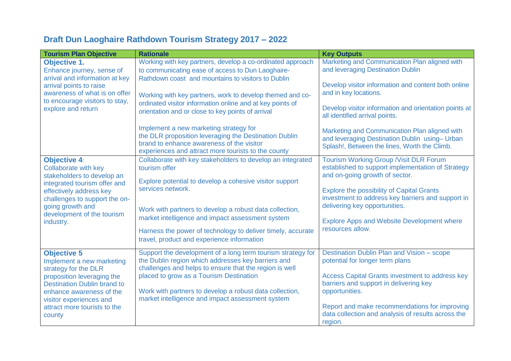# **Draft Dun Laoghaire Rathdown Tourism Strategy 2017 – 2022**

| <b>Tourism Plan Objective</b>                                   | <b>Rationale</b>                                                                                                                                                                                    | <b>Key Outputs</b>                                                                                                                              |
|-----------------------------------------------------------------|-----------------------------------------------------------------------------------------------------------------------------------------------------------------------------------------------------|-------------------------------------------------------------------------------------------------------------------------------------------------|
| <b>Objective 1.</b>                                             | Working with key partners, develop a co-ordinated approach                                                                                                                                          | Marketing and Communication Plan aligned with                                                                                                   |
| Enhance journey, sense of                                       | to communicating ease of access to Dun Laoghaire-                                                                                                                                                   | and leveraging Destination Dublin                                                                                                               |
| arrival and information at key<br>arrival points to raise       | Rathdown coast and mountains to visitors to Dublin                                                                                                                                                  | Develop visitor information and content both online                                                                                             |
| awareness of what is on offer<br>to encourage visitors to stay, | Working with key partners, work to develop themed and co-                                                                                                                                           | and in key locations.                                                                                                                           |
| explore and return                                              | ordinated visitor information online and at key points of<br>orientation and or close to key points of arrival                                                                                      | Develop visitor information and orientation points at<br>all identified arrival points.                                                         |
|                                                                 | Implement a new marketing strategy for<br>the DLR proposition leveraging the Destination Dublin<br>brand to enhance awareness of the visitor<br>experiences and attract more tourists to the county | Marketing and Communication Plan aligned with<br>and leveraging Destination Dublin using- Urban<br>Splash!, Between the lines, Worth the Climb. |
| <b>Objective 4:</b><br><b>Collaborate with key</b>              | Collaborate with key stakeholders to develop an integrated<br>tourism offer                                                                                                                         | Tourism Working Group / Visit DLR Forum<br>established to support implementation of Strategy                                                    |
| stakeholders to develop an<br>integrated tourism offer and      | Explore potential to develop a cohesive visitor support                                                                                                                                             | and on-going growth of sector.                                                                                                                  |
| effectively address key<br>challenges to support the on-        | services network.                                                                                                                                                                                   | <b>Explore the possibility of Capital Grants</b><br>investment to address key barriers and support in                                           |
| going growth and<br>development of the tourism                  | Work with partners to develop a robust data collection,                                                                                                                                             | delivering key opportunities.                                                                                                                   |
| industry.                                                       | market intelligence and impact assessment system                                                                                                                                                    | <b>Explore Apps and Website Development where</b>                                                                                               |
|                                                                 | Harness the power of technology to deliver timely, accurate<br>travel, product and experience information                                                                                           | resources allow.                                                                                                                                |
| <b>Objective 5</b>                                              | Support the development of a long term tourism strategy for                                                                                                                                         | Destination Dublin Plan and Vision - scope                                                                                                      |
| Implement a new marketing<br>strategy for the DLR               | the Dublin region which addresses key barriers and<br>challenges and helps to ensure that the region is well                                                                                        | potential for longer term plans                                                                                                                 |
| proposition leveraging the                                      | placed to grow as a Tourism Destination                                                                                                                                                             | <b>Access Capital Grants investment to address key</b>                                                                                          |
| <b>Destination Dublin brand to</b>                              |                                                                                                                                                                                                     | barriers and support in delivering key                                                                                                          |
| enhance awareness of the<br>visitor experiences and             | Work with partners to develop a robust data collection,<br>market intelligence and impact assessment system                                                                                         | opportunities.                                                                                                                                  |
| attract more tourists to the<br>county                          |                                                                                                                                                                                                     | Report and make recommendations for improving<br>data collection and analysis of results across the<br>region.                                  |